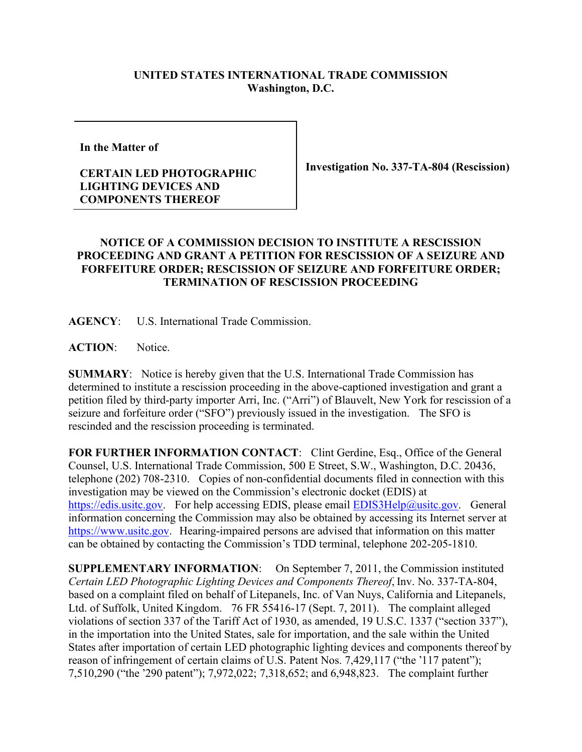## **UNITED STATES INTERNATIONAL TRADE COMMISSION Washington, D.C.**

**In the Matter of** 

## **CERTAIN LED PHOTOGRAPHIC LIGHTING DEVICES AND COMPONENTS THEREOF**

**Investigation No. 337-TA-804 (Rescission)**

## **NOTICE OF A COMMISSION DECISION TO INSTITUTE A RESCISSION PROCEEDING AND GRANT A PETITION FOR RESCISSION OF A SEIZURE AND FORFEITURE ORDER; RESCISSION OF SEIZURE AND FORFEITURE ORDER; TERMINATION OF RESCISSION PROCEEDING**

**AGENCY**: U.S. International Trade Commission.

**ACTION**: Notice.

**SUMMARY**: Notice is hereby given that the U.S. International Trade Commission has determined to institute a rescission proceeding in the above-captioned investigation and grant a petition filed by third-party importer Arri, Inc. ("Arri") of Blauvelt, New York for rescission of a seizure and forfeiture order ("SFO") previously issued in the investigation. The SFO is rescinded and the rescission proceeding is terminated.

**FOR FURTHER INFORMATION CONTACT**: Clint Gerdine, Esq., Office of the General Counsel, U.S. International Trade Commission, 500 E Street, S.W., Washington, D.C. 20436, telephone (202) 708-2310. Copies of non-confidential documents filed in connection with this investigation may be viewed on the Commission's electronic docket (EDIS) at [https://edis.usitc.gov.](https://edis.usitc.gov/) For help accessing EDIS, please email [EDIS3Help@usitc.gov.](mailto:EDIS3Help@usitc.gov) General information concerning the Commission may also be obtained by accessing its Internet server at [https://www.usitc.gov.](https://www.usitc.gov/) Hearing-impaired persons are advised that information on this matter can be obtained by contacting the Commission's TDD terminal, telephone 202-205-1810.

**SUPPLEMENTARY INFORMATION**: On September 7, 2011, the Commission instituted *Certain LED Photographic Lighting Devices and Components Thereof*, Inv. No. 337-TA-804, based on a complaint filed on behalf of Litepanels, Inc. of Van Nuys, California and Litepanels, Ltd. of Suffolk, United Kingdom. 76 FR 55416-17 (Sept. 7, 2011). The complaint alleged violations of section 337 of the Tariff Act of 1930, as amended, 19 U.S.C. 1337 ("section 337"), in the importation into the United States, sale for importation, and the sale within the United States after importation of certain LED photographic lighting devices and components thereof by reason of infringement of certain claims of U.S. Patent Nos. 7,429,117 ("the '117 patent"); 7,510,290 ("the ՚290 patent"); 7,972,022; 7,318,652; and 6,948,823. The complaint further